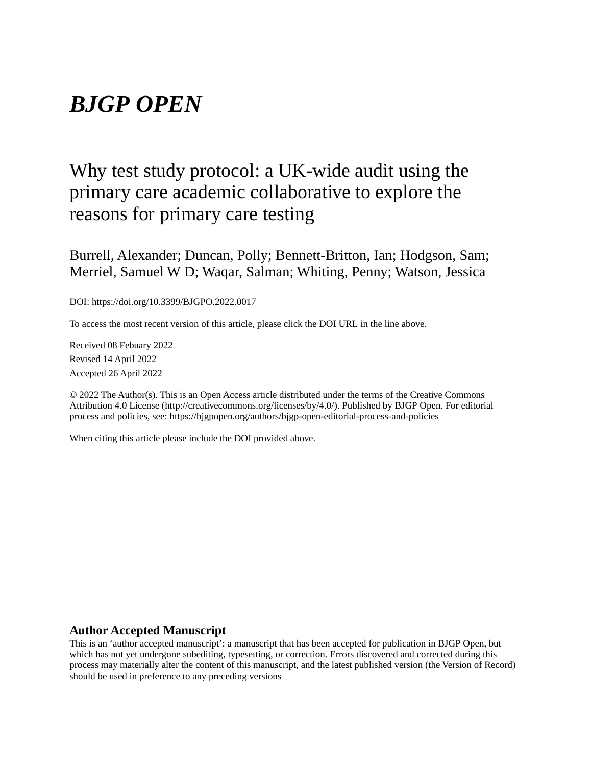## *BJGP OPEN*

## Why test study protocol: a UK-wide audit using the primary care academic collaborative to explore the reasons for primary care testing

Burrell, Alexander; Duncan, Polly; Bennett-Britton, Ian; Hodgson, Sam; Merriel, Samuel W D; Waqar, Salman; Whiting, Penny; Watson, Jessica

DOI: https://doi.org/10.3399/BJGPO.2022.0017

To access the most recent version of this article, please click the DOI URL in the line above.

Received 08 Febuary 2022 Revised 14 April 2022 Accepted 26 April 2022

© 2022 The Author(s). This is an Open Access article distributed under the terms of the Creative Commons Attribution 4.0 License (http://creativecommons.org/licenses/by/4.0/). Published by BJGP Open. For editorial process and policies, see: https://bjgpopen.org/authors/bjgp-open-editorial-process-and-policies

When citing this article please include the DOI provided above.

#### **Author Accepted Manuscript**

This is an 'author accepted manuscript': a manuscript that has been accepted for publication in BJGP Open, but which has not yet undergone subediting, typesetting, or correction. Errors discovered and corrected during this process may materially alter the content of this manuscript, and the latest published version (the Version of Record) should be used in preference to any preceding versions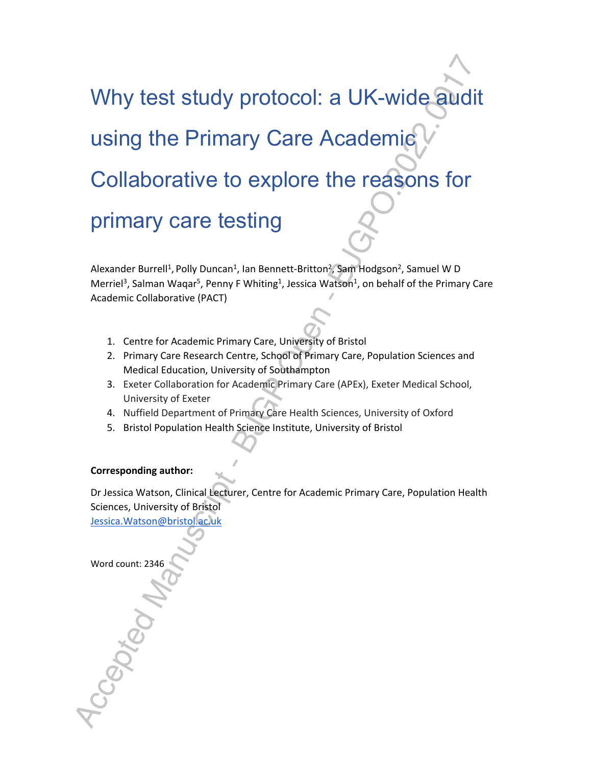# Why test study protocol: a UK-wide audit using the Primary Care Academic Collaborative to explore the reasons for primary care testing

Alexander Burrell<sup>1</sup>, Polly Duncan<sup>1</sup>, Ian Bennett-Britton<sup>2</sup>, Sam Hodgson<sup>2</sup>, Samuel W D Merriel<sup>3</sup>, Salman Waqar<sup>5</sup>, Penny F Whiting<sup>1</sup>, Jessica Watson<sup>1</sup>, on behalf of the Primary Care Academic Collaborative (PACT)

- 1. Centre for Academic Primary Care, University of Bristol
- 2. Primary Care Research Centre, School of Primary Care, Population Sciences and Medical Education, University of Southampton
- 3. Exeter Collaboration for Academic Primary Care (APEx), Exeter Medical School, University of Exeter
- 4. Nuffield Department of Primary Care Health Sciences, University of Oxford
- 5. Bristol Population Health Science Institute, University of Bristol

#### **Corresponding author:**

Dr Jessica Watson, Clinical Lecturer, Centre for Academic Primary Care, Population Health Sciences, University of Bristol Jessica.Watson@bristol.ac.uk

Word count: 2346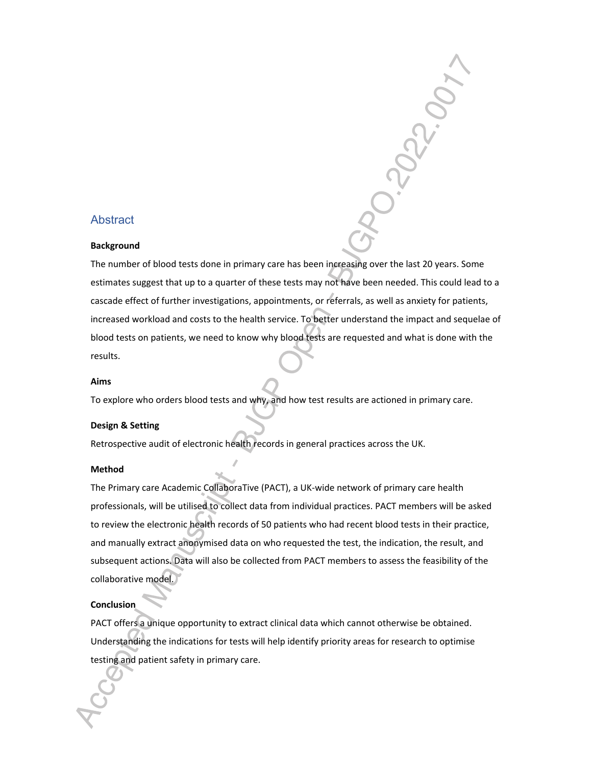#### **Abstract**

#### **Background**

The number of blood tests done in primary care has been increasing over the last 20 years. Some estimates suggest that up to a quarter of these tests may not have been needed. This could lead to a cascade effect of further investigations, appointments, or referrals, as well as anxiety for patients, increased workload and costs to the health service. To better understand the impact and sequelae of blood tests on patients, we need to know why blood tests are requested and what is done with the results.

#### **Aims**

To explore who orders blood tests and why, and how test results are actioned in primary care.

#### **Design & Setting**

Retrospective audit of electronic health records in general practices across the UK.

#### **Method**

The Primary care Academic CollaboraTive (PACT), a UK-wide network of primary care health professionals, will be utilised to collect data from individual practices. PACT members will be asked to review the electronic health records of 50 patients who had recent blood tests in their practice, and manually extract anonymised data on who requested the test, the indication, the result, and subsequent actions. Data will also be collected from PACT members to assess the feasibility of the collaborative model.

#### **Conclusion**

PACT offers a unique opportunity to extract clinical data which cannot otherwise be obtained. Understanding the indications for tests will help identify priority areas for research to optimise testing and patient safety in primary care.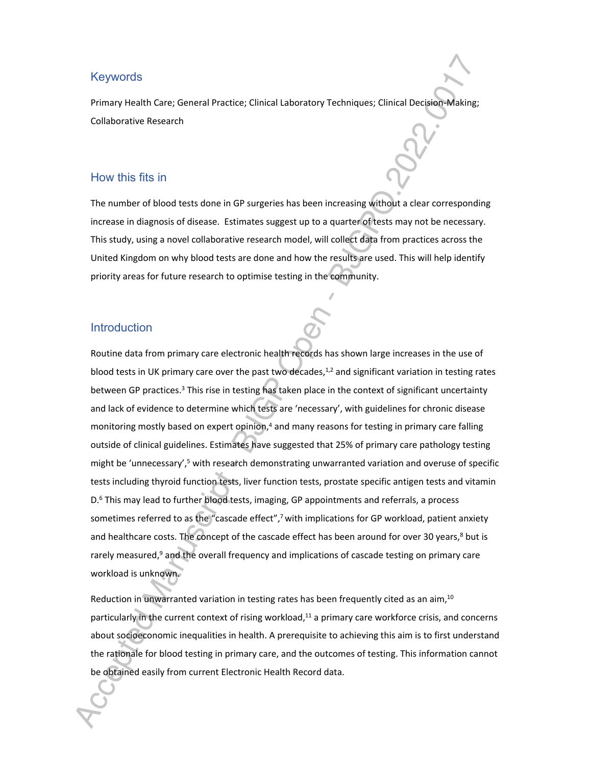#### **Keywords**

Primary Health Care; General Practice; Clinical Laboratory Techniques; Clinical Decision-Making; Collaborative Research

#### How this fits in

The number of blood tests done in GP surgeries has been increasing without a clear corresponding increase in diagnosis of disease. Estimates suggest up to a quarter of tests may not be necessary. This study, using a novel collaborative research model, will collect data from practices across the United Kingdom on why blood tests are done and how the results are used. This will help identify priority areas for future research to optimise testing in the community.

#### Introduction

Routine data from primary care electronic health records has shown large increases in the use of blood tests in UK primary care over the past two decades, $1/2$  and significant variation in testing rates between GP practices.<sup>3</sup> This rise in testing has taken place in the context of significant uncertainty and lack of evidence to determine which tests are 'necessary', with guidelines for chronic disease monitoring mostly based on expert opinion,<sup>4</sup> and many reasons for testing in primary care falling outside of clinical guidelines. Estimates have suggested that 25% of primary care pathology testing might be 'unnecessary',<sup>5</sup> with research demonstrating unwarranted variation and overuse of specific tests including thyroid function tests, liver function tests, prostate specific antigen tests and vitamin D.<sup>6</sup> This may lead to further blood tests, imaging, GP appointments and referrals, a process sometimes referred to as the "cascade effect",<sup>7</sup> with implications for GP workload, patient anxiety and healthcare costs. The concept of the cascade effect has been around for over 30 years,<sup>8</sup> but is rarely measured,<sup>9</sup> and the overall frequency and implications of cascade testing on primary care workload is unknown.

Reduction in unwarranted variation in testing rates has been frequently cited as an aim,<sup>10</sup> particularly in the current context of rising workload,<sup>11</sup> a primary care workforce crisis, and concerns about socioeconomic inequalities in health. A prerequisite to achieving this aim is to first understand the rationale for blood testing in primary care, and the outcomes of testing. This information cannot be obtained easily from current Electronic Health Record data.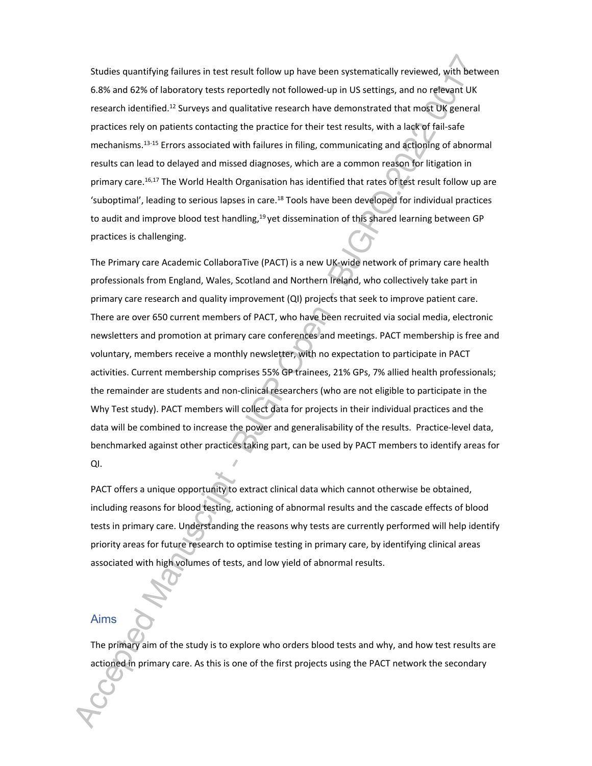Studies quantifying failures in test result follow up have been systematically reviewed, with between 6.8% and 62% of laboratory tests reportedly not followed-up in US settings, and no relevant UK research identified.<sup>12</sup> Surveys and qualitative research have demonstrated that most UK general practices rely on patients contacting the practice for their test results, with a lack of fail-safe mechanisms.13-15 Errors associated with failures in filing, communicating and actioning of abnormal results can lead to delayed and missed diagnoses, which are a common reason for litigation in primary care.<sup>16,17</sup> The World Health Organisation has identified that rates of test result follow up are 'suboptimal', leading to serious lapses in care.<sup>18</sup> Tools have been developed for individual practices to audit and improve blood test handling,<sup>19</sup> yet dissemination of this shared learning between GP practices is challenging.

The Primary care Academic CollaboraTive (PACT) is a new UK-wide network of primary care health professionals from England, Wales, Scotland and Northern Ireland, who collectively take part in primary care research and quality improvement (QI) projects that seek to improve patient care. There are over 650 current members of PACT, who have been recruited via social media, electronic newsletters and promotion at primary care conferences and meetings. PACT membership is free and voluntary, members receive a monthly newsletter, with no expectation to participate in PACT activities. Current membership comprises 55% GP trainees, 21% GPs, 7% allied health professionals; the remainder are students and non-clinical researchers (who are not eligible to participate in the Why Test study). PACT members will collect data for projects in their individual practices and the data will be combined to increase the power and generalisability of the results. Practice-level data, benchmarked against other practices taking part, can be used by PACT members to identify areas for QI.

PACT offers a unique opportunity to extract clinical data which cannot otherwise be obtained, including reasons for blood testing, actioning of abnormal results and the cascade effects of blood tests in primary care. Understanding the reasons why tests are currently performed will help identify priority areas for future research to optimise testing in primary care, by identifying clinical areas associated with high volumes of tests, and low yield of abnormal results.

#### Aims

The primary aim of the study is to explore who orders blood tests and why, and how test results are actioned in primary care. As this is one of the first projects using the PACT network the secondary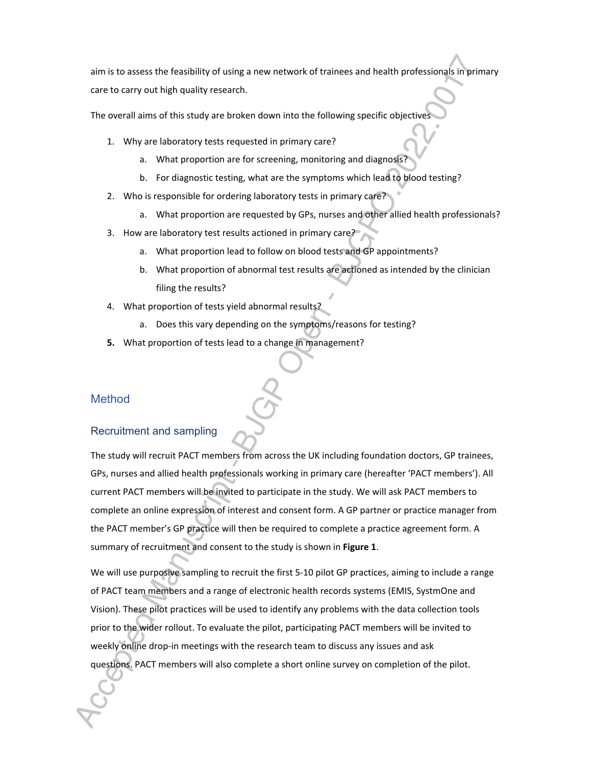aim is to assess the feasibility of using a new network of trainees and health professionals in primary care to carry out high quality research.

The overall aims of this study are broken down into the following specific objectives

- 1. Why are laboratory tests requested in primary care?
	- a. What proportion are for screening, monitoring and diagnosis?
	- b. For diagnostic testing, what are the symptoms which lead to blood testing?
- 2. Who is responsible for ordering laboratory tests in primary care?
	- a. What proportion are requested by GPs, nurses and other allied health professionals?
- 3. How are laboratory test results actioned in primary care?
	- a. What proportion lead to follow on blood tests and GP appointments?
	- b. What proportion of abnormal test results are actioned as intended by the clinician filing the results?
- 4. What proportion of tests yield abnormal results?
	- a. Does this vary depending on the symptoms/reasons for testing?
- **5.** What proportion of tests lead to a change in management?

#### Method

#### Recruitment and sampling

The study will recruit PACT members from across the UK including foundation doctors, GP trainees, GPs, nurses and allied health professionals working in primary care (hereafter 'PACT members'). All current PACT members will be invited to participate in the study. We will ask PACT members to complete an online expression of interest and consent form. A GP partner or practice manager from the PACT member's GP practice will then be required to complete a practice agreement form. A summary of recruitment and consent to the study is shown in **Figure 1**.

We will use purposive sampling to recruit the first 5-10 pilot GP practices, aiming to include a range of PACT team members and a range of electronic health records systems (EMIS, SystmOne and Vision). These pilot practices will be used to identify any problems with the data collection tools prior to the wider rollout. To evaluate the pilot, participating PACT members will be invited to weekly online drop-in meetings with the research team to discuss any issues and ask questions. PACT members will also complete a short online survey on completion of the pilot.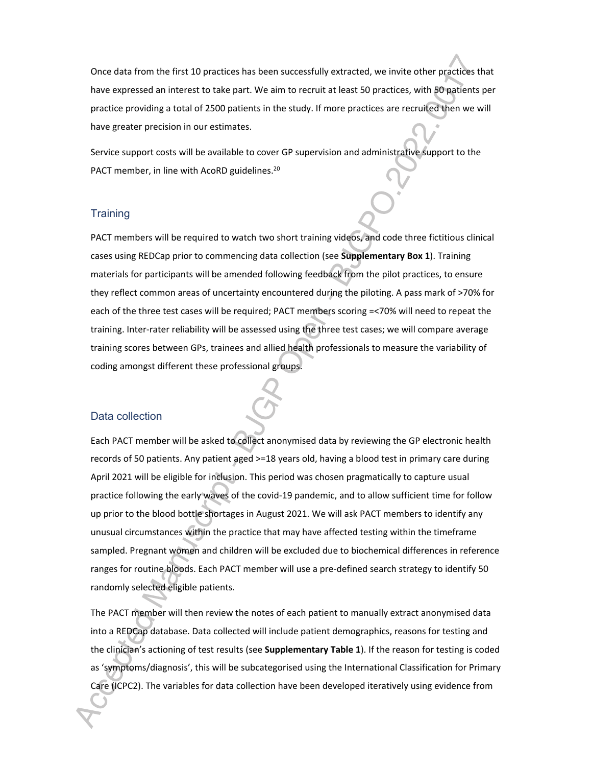Once data from the first 10 practices has been successfully extracted, we invite other practices that have expressed an interest to take part. We aim to recruit at least 50 practices, with 50 patients per practice providing a total of 2500 patients in the study. If more practices are recruited then we will have greater precision in our estimates.

Service support costs will be available to cover GP supervision and administrative support to the PACT member, in line with AcoRD guidelines.<sup>20</sup>

#### **Training**

PACT members will be required to watch two short training videos, and code three fictitious clinical cases using REDCap prior to commencing data collection (see **Supplementary Box 1**). Training materials for participants will be amended following feedback from the pilot practices, to ensure they reflect common areas of uncertainty encountered during the piloting. A pass mark of >70% for each of the three test cases will be required; PACT members scoring =<70% will need to repeat the training. Inter-rater reliability will be assessed using the three test cases; we will compare average training scores between GPs, trainees and allied health professionals to measure the variability of coding amongst different these professional groups.

#### Data collection

Each PACT member will be asked to collect anonymised data by reviewing the GP electronic health records of 50 patients. Any patient aged >=18 years old, having a blood test in primary care during April 2021 will be eligible for inclusion. This period was chosen pragmatically to capture usual practice following the early waves of the covid-19 pandemic, and to allow sufficient time for follow up prior to the blood bottle shortages in August 2021. We will ask PACT members to identify any unusual circumstances within the practice that may have affected testing within the timeframe sampled. Pregnant women and children will be excluded due to biochemical differences in reference ranges for routine bloods. Each PACT member will use a pre-defined search strategy to identify 50 randomly selected eligible patients.

The PACT member will then review the notes of each patient to manually extract anonymised data into a REDCap database. Data collected will include patient demographics, reasons for testing and the clinician's actioning of test results (see **Supplementary Table 1**). If the reason for testing is coded as 'symptoms/diagnosis', this will be subcategorised using the International Classification for Primary Care (ICPC2). The variables for data collection have been developed iteratively using evidence from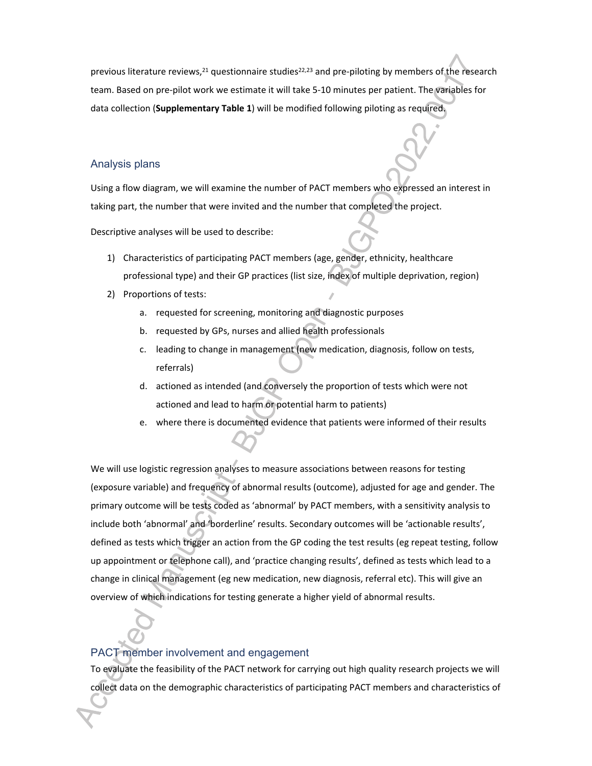previous literature reviews, $21$  questionnaire studies $22,23$  and pre-piloting by members of the research team. Based on pre-pilot work we estimate it will take 5-10 minutes per patient. The variables for data collection (**Supplementary Table 1**) will be modified following piloting as required.

#### Analysis plans

Using a flow diagram, we will examine the number of PACT members who expressed an interest in taking part, the number that were invited and the number that completed the project.

Descriptive analyses will be used to describe:

- 1) Characteristics of participating PACT members (age, gender, ethnicity, healthcare professional type) and their GP practices (list size, index of multiple deprivation, region)
- 2) Proportions of tests:
	- a. requested for screening, monitoring and diagnostic purposes
	- b. requested by GPs, nurses and allied health professionals
	- c. leading to change in management (new medication, diagnosis, follow on tests, referrals)
	- d. actioned as intended (and conversely the proportion of tests which were not actioned and lead to harm or potential harm to patients)
	- e. where there is documented evidence that patients were informed of their results

We will use logistic regression analyses to measure associations between reasons for testing (exposure variable) and frequency of abnormal results (outcome), adjusted for age and gender. The primary outcome will be tests coded as 'abnormal' by PACT members, with a sensitivity analysis to include both 'abnormal' and 'borderline' results. Secondary outcomes will be 'actionable results', defined as tests which trigger an action from the GP coding the test results (eg repeat testing, follow up appointment or telephone call), and 'practice changing results', defined as tests which lead to a change in clinical management (eg new medication, new diagnosis, referral etc). This will give an overview of which indications for testing generate a higher yield of abnormal results.

#### PACT member involvement and engagement

To evaluate the feasibility of the PACT network for carrying out high quality research projects we will collect data on the demographic characteristics of participating PACT members and characteristics of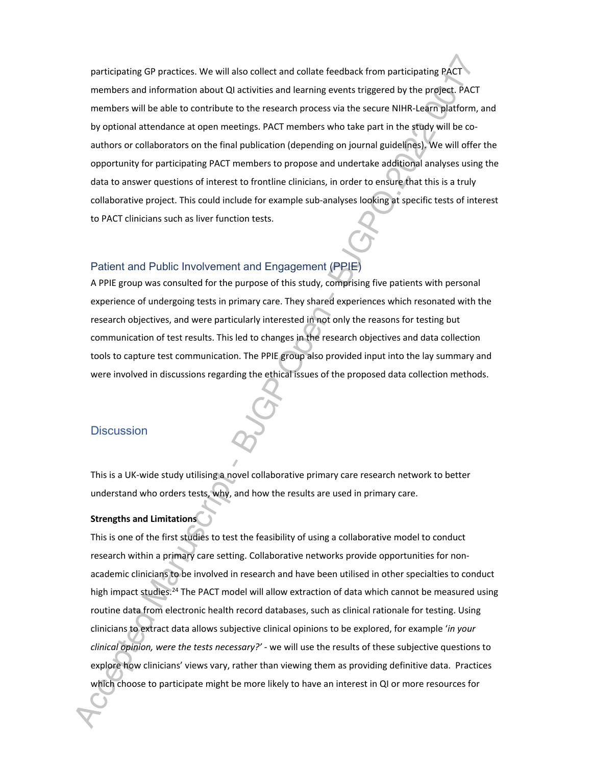participating GP practices. We will also collect and collate feedback from participating PACT members and information about QI activities and learning events triggered by the project. PACT members will be able to contribute to the research process via the secure NIHR-Learn platform, and by optional attendance at open meetings. PACT members who take part in the study will be coauthors or collaborators on the final publication (depending on journal guidelines). We will offer the opportunity for participating PACT members to propose and undertake additional analyses using the data to answer questions of interest to frontline clinicians, in order to ensure that this is a truly collaborative project. This could include for example sub-analyses looking at specific tests of interest to PACT clinicians such as liver function tests.

#### Patient and Public Involvement and Engagement (PPIE)

A PPIE group was consulted for the purpose of this study, comprising five patients with personal experience of undergoing tests in primary care. They shared experiences which resonated with the research objectives, and were particularly interested in not only the reasons for testing but communication of test results. This led to changes in the research objectives and data collection tools to capture test communication. The PPIE group also provided input into the lay summary and were involved in discussions regarding the ethical issues of the proposed data collection methods.

#### **Discussion**

This is a UK-wide study utilising a novel collaborative primary care research network to better understand who orders tests, why, and how the results are used in primary care.

#### **Strengths and Limitations**

This is one of the first studies to test the feasibility of using a collaborative model to conduct research within a primary care setting. Collaborative networks provide opportunities for nonacademic clinicians to be involved in research and have been utilised in other specialties to conduct high impact studies.<sup>24</sup> The PACT model will allow extraction of data which cannot be measured using routine data from electronic health record databases, such as clinical rationale for testing. Using clinicians to extract data allows subjective clinical opinions to be explored, for example '*in your clinical opinion, were the tests necessary?' -* we will use the results of these subjective questions to explore how clinicians' views vary, rather than viewing them as providing definitive data. Practices which choose to participate might be more likely to have an interest in QI or more resources for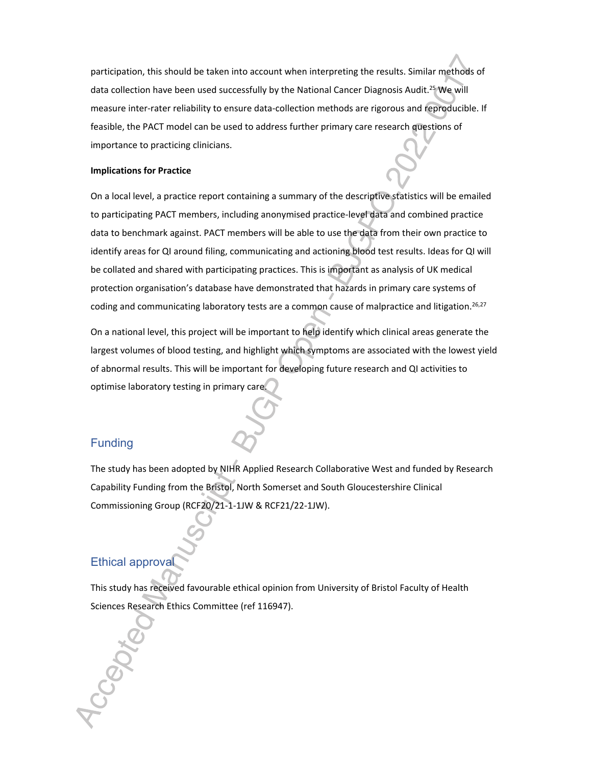participation, this should be taken into account when interpreting the results. Similar methods of data collection have been used successfully by the National Cancer Diagnosis Audit.<sup>25</sup> We will measure inter-rater reliability to ensure data-collection methods are rigorous and reproducible. If feasible, the PACT model can be used to address further primary care research questions of importance to practicing clinicians.

#### **Implications for Practice**

On a local level, a practice report containing a summary of the descriptive statistics will be emailed to participating PACT members, including anonymised practice-level data and combined practice data to benchmark against. PACT members will be able to use the data from their own practice to identify areas for QI around filing, communicating and actioning blood test results. Ideas for QI will be collated and shared with participating practices. This is important as analysis of UK medical protection organisation's database have demonstrated that hazards in primary care systems of coding and communicating laboratory tests are a common cause of malpractice and litigation.<sup>26,27</sup>

On a national level, this project will be important to help identify which clinical areas generate the largest volumes of blood testing, and highlight which symptoms are associated with the lowest yield of abnormal results. This will be important for developing future research and QI activities to optimise laboratory testing in primary care.

#### Funding

The study has been adopted by NIHR Applied Research Collaborative West and funded by Research Capability Funding from the Bristol, North Somerset and South Gloucestershire Clinical Commissioning Group (RCF20/21-1-1JW & RCF21/22-1JW).

#### Ethical approval

This study has received favourable ethical opinion from University of Bristol Faculty of Health Sciences Research Ethics Committee (ref 116947).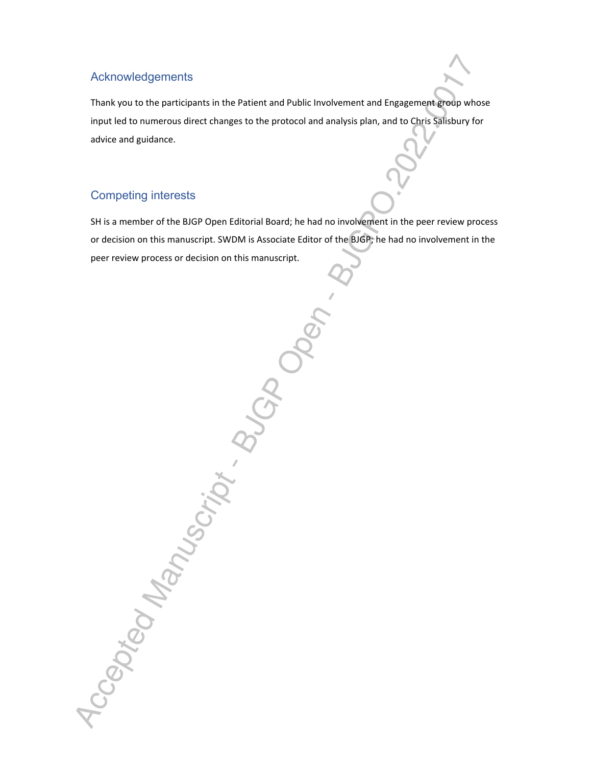#### Acknowledgements

Thank you to the participants in the Patient and Public Involvement and Engagement group whose input led to numerous direct changes to the protocol and analysis plan, and to Chris Salisbury for advice and guidance.

#### Competing interests

Accepted Manuscript . BUGP

SH is a member of the BJGP Open Editorial Board; he had no involvement in the peer review process or decision on this manuscript. SWDM is Associate Editor of the BJGP; he had no involvement in the peer review process or decision on this manuscript.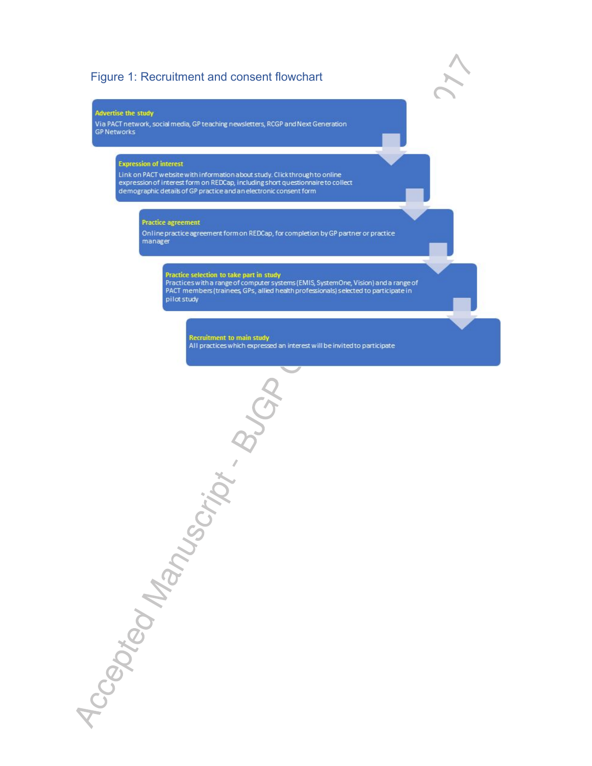### Figure 1: Recruitment and consent flowchart

#### **Advertise the study**

Via PACT network, social media, GP teaching newsletters, RCGP and Next Generation **GP Networks** 

#### **Expression of interest**

Link on PACT website with information about study. Click through to online<br>expression of interest form on REDCap, including short questionnaire to collect demographic details of GP practice and an electronic consent form

#### **Practice agreement**

Accepted Manuscript Buck

Online practice agreement form on REDCap, for completion by GP partner or practice manager

#### Practice selection to take part in study

Practices with a range of computer systems (EMIS, SystemOne, Vision) and a range of PACT members (trainees GPs, allied health professionals) selected to participate in pilot study

Recruitment to main study<br>All practices which expressed an interest will be invited to participate

 $\blacktriangledown$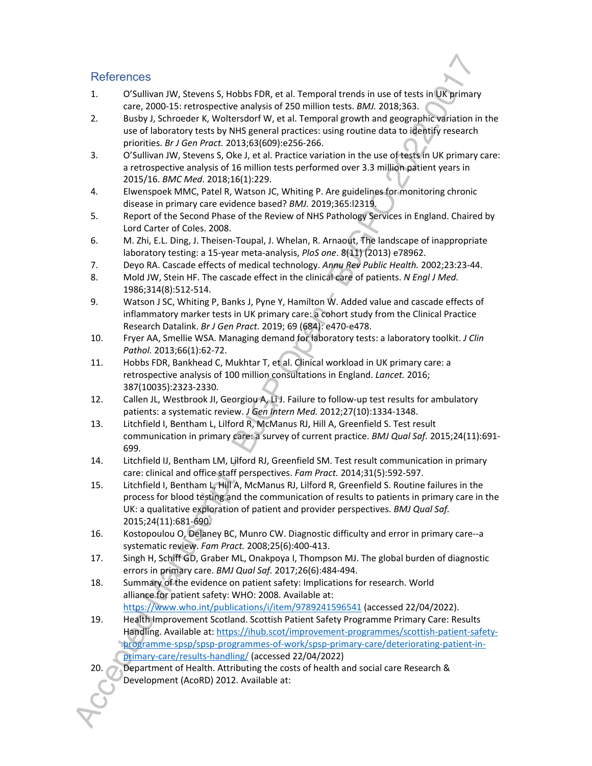#### **References**

- 1. O'Sullivan JW, Stevens S, Hobbs FDR, et al. Temporal trends in use of tests in UK primary care, 2000-15: retrospective analysis of 250 million tests. *BMJ.* 2018;363.
- 2. Busby J, Schroeder K, Woltersdorf W, et al. Temporal growth and geographic variation in the use of laboratory tests by NHS general practices: using routine data to identify research priorities. *Br J Gen Pract.* 2013;63(609):e256-266.
- 3. O'Sullivan JW, Stevens S, Oke J, et al. Practice variation in the use of tests in UK primary care: a retrospective analysis of 16 million tests performed over 3.3 million patient years in 2015/16. *BMC Med*. 2018;16(1):229.
- 4. Elwenspoek MMC, Patel R, Watson JC, Whiting P. Are guidelines for monitoring chronic disease in primary care evidence based? *BMJ.* 2019;365:l2319.
- 5. Report of the Second Phase of the Review of NHS Pathology Services in England. Chaired by Lord Carter of Coles. 2008.
- 6. M. Zhi, E.L. Ding, J. Theisen-Toupal, J. Whelan, R. Arnaout, The landscape of inappropriate laboratory testing: a 15-year meta-analysis, *PloS one*. 8(11) (2013) e78962.
- 7. Deyo RA. Cascade effects of medical technology. *Annu Rev Public Health.* 2002;23:23-44.
- 8. Mold JW, Stein HF. The cascade effect in the clinical care of patients. *N Engl J Med.*  1986;314(8):512-514.
- 9. Watson J SC, Whiting P, Banks J, Pyne Y, Hamilton W. Added value and cascade effects of inflammatory marker tests in UK primary care: a cohort study from the Clinical Practice Research Datalink. *Br J Gen Pract.* 2019; 69 (684): e470-e478.
- 10. Fryer AA, Smellie WSA. Managing demand for laboratory tests: a laboratory toolkit. *J Clin Pathol.* 2013;66(1):62-72.
- 11. Hobbs FDR, Bankhead C, Mukhtar T, et al. Clinical workload in UK primary care: a retrospective analysis of 100 million consultations in England. *Lancet.* 2016; 387(10035):2323-2330.
- 12. Callen JL, Westbrook JI, Georgiou A, Li J. Failure to follow-up test results for ambulatory patients: a systematic review. *J Gen Intern Med.* 2012;27(10):1334-1348.
- 13. Litchfield I, Bentham L, Lilford R, McManus RJ, Hill A, Greenfield S. Test result communication in primary care: a survey of current practice. *BMJ Qual Saf.* 2015;24(11):691- 699.
- 14. Litchfield IJ, Bentham LM, Lilford RJ, Greenfield SM. Test result communication in primary care: clinical and office staff perspectives. *Fam Pract.* 2014;31(5):592-597.
- 15. Litchfield I, Bentham L, Hill A, McManus RJ, Lilford R, Greenfield S. Routine failures in the process for blood testing and the communication of results to patients in primary care in the UK: a qualitative exploration of patient and provider perspectives. *BMJ Qual Saf.*  2015;24(11):681-690.
- 16. Kostopoulou O, Delaney BC, Munro CW. Diagnostic difficulty and error in primary care--a systematic review. *Fam Pract.* 2008;25(6):400-413.
- 17. Singh H, Schiff GD, Graber ML, Onakpoya I, Thompson MJ. The global burden of diagnostic errors in primary care. *BMJ Qual Saf.* 2017;26(6):484-494.
- 18. Summary of the evidence on patient safety: Implications for research. World alliance for patient safety: WHO: 2008. Available at: https://www.who.int/publications/i/item/9789241596541 (accessed 22/04/2022).
- 19. Health Improvement Scotland. Scottish Patient Safety Programme Primary Care: Results Handling. Available at: https://ihub.scot/improvement-programmes/scottish-patient-safetyprogramme-spsp/spsp-programmes-of-work/spsp-primary-care/deteriorating-patient-inprimary-care/results-handling/ (accessed 22/04/2022)
- Department of Health. Attributing the costs of health and social care Research & Development (AcoRD) 2012. Available at: